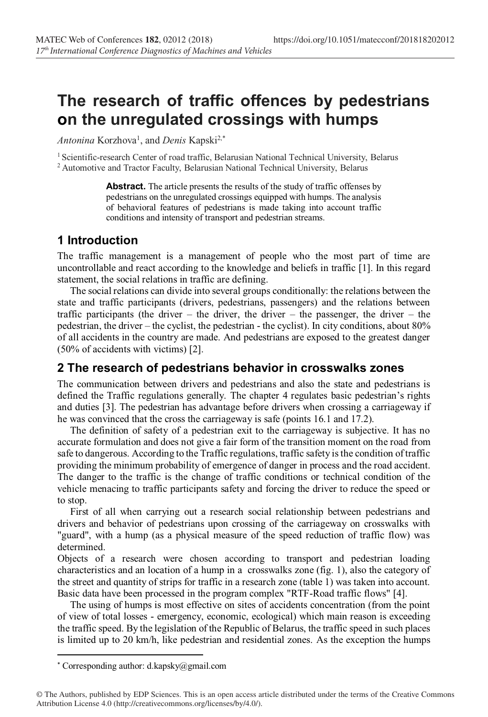# **The research of traffic offences by pedestrians on the unregulated crossings with humps**

Antonina Korzhova<sup>1</sup>, and *Denis* Kapski<sup>2,\*</sup>

<sup>1</sup> Scientific-research Center of road traffic, Belarusian National Technical University, Belarus <sup>2</sup> Automotive and Tractor Faculty, Belarusian National Technical University, Belarus

> **Abstract.** The article presents the results of the study of traffic offenses by pedestrians on the unregulated crossings equipped with humps. The analysis of behavioral features of pedestrians is made taking into account traffic conditions and intensity of transport and pedestrian streams.

## **1 Introduction**

The traffic management is a management of people who the most part of time are uncontrollable and react according to the knowledge and beliefs in traffic [1]. In this regard statement, the social relations in traffic are defining.

 The social relations can divide into several groups conditionally: the relations between the state and traffic participants (drivers, pedestrians, passengers) and the relations between traffic participants (the driver – the driver, the driver – the passenger, the driver – the pedestrian, the driver – the cyclist, the pedestrian - the cyclist). In city conditions, about 80% of all accidents in the country are made. And pedestrians are exposed to the greatest danger (50% of accidents with victims) [2].

## **2 The research of pedestrians behavior in crosswalks zones**

The communication between drivers and pedestrians and also the state and pedestrians is defined the Traffic regulations generally. The chapter 4 regulates basic pedestrian's rights and duties [3]. The pedestrian has advantage before drivers when crossing a carriageway if he was convinced that the cross the carriageway is safe (points 16.1 and 17.2).

 The definition of safety of a pedestrian exit to the carriageway is subjective. It has no accurate formulation and does not give a fair form of the transition moment on the road from safe to dangerous. According to the Traffic regulations, traffic safety is the condition of traffic providing the minimum probability of emergence of danger in process and the road accident. The danger to the traffic is the change of traffic conditions or technical condition of the vehicle menacing to traffic participants safety and forcing the driver to reduce the speed or to stop.

 First of all when carrying out a research social relationship between pedestrians and drivers and behavior of pedestrians upon crossing of the carriageway on crosswalks with "guard", with a hump (as a physical measure of the speed reduction of traffic flow) was determined.

Objects of a research were chosen according to transport and pedestrian loading characteristics and an location of a hump in a crosswalks zone (fig. 1), also the category of the street and quantity of strips for traffic in a research zone (table 1) was taken into account. Basic data have been processed in the program complex "RTF-Road traffic flows" [4].

 The using of humps is most effective on sites of accidents concentration (from the point of view of total losses - emergency, economic, ecological) which main reason is exceeding the traffic speed. By the legislation of the Republic of Belarus, the traffic speed in such places is limited up to 20 km/h, like pedestrian and residential zones. As the exception the humps

 <sup>\*</sup> Corresponding author: d.kapsky@gmail.com

<sup>©</sup> The Authors, published by EDP Sciences. This is an open access article distributed under the terms of the Creative Commons Attribution License 4.0 (http://creativecommons.org/licenses/by/4.0/).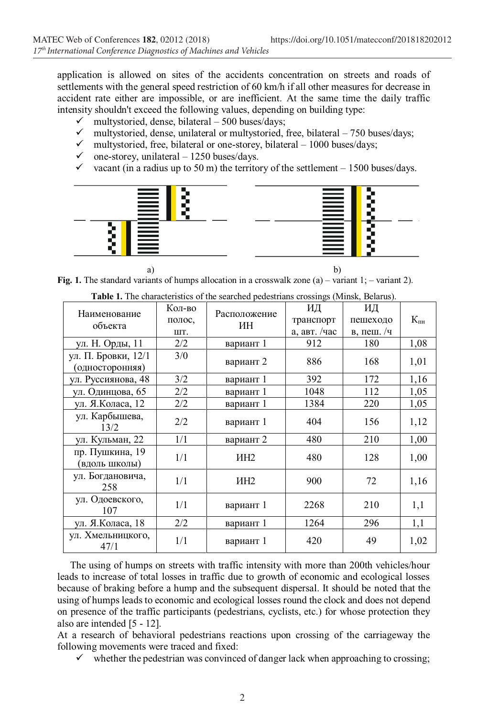application is allowed on sites of the accidents concentration on streets and roads of settlements with the general speed restriction of 60 km/h if all other measures for decrease in accident rate either are impossible, or are inefficient. At the same time the daily traffic intensity shouldn't exceed the following values, depending on building type:

- multystoried, dense, bilateral 500 buses/days;
- multystoried, dense, unilateral or multystoried, free, bilateral 750 buses/days;
- $\checkmark$  multystoried, free, bilateral or one-storey, bilateral 1000 buses/days;
- one-storey, unilateral  $-1250$  buses/days.
- vacant (in a radius up to 50 m) the territory of the settlement  $1500$  buses/days.



a) b) **Fig. 1.** The standard variants of humps allocation in a crosswalk zone (a) – variant 1; – variant 2).

| <b>TWOLF IT THE CHARGE CHOICE OF THE SCALENCE POGESTIONS OF COSMILES (THINGS),</b> |        |                    |              |              |                 |  |
|------------------------------------------------------------------------------------|--------|--------------------|--------------|--------------|-----------------|--|
| Наименование<br>объекта                                                            | Кол-во | Расположение<br>ИН | ИД           | ИД           |                 |  |
|                                                                                    | полос, |                    | транспорт    | пешеходо     | $K_{\text{th}}$ |  |
|                                                                                    | ШT.    |                    | а, авт. /час | в, пеш. $/q$ |                 |  |
| ул. Н. Орды, 11                                                                    | 2/2    | вариант 1          | 912          | 180          | 1,08            |  |
| ул. П. Бровки, 12/1                                                                | 3/0    |                    | 886          | 168          | 1,01            |  |
| (односторонняя)                                                                    |        | вариант 2          |              |              |                 |  |
| ул. Руссиянова, 48                                                                 | 3/2    | вариант 1          | 392          | 172          | 1,16            |  |
| ул. Одинцова, 65                                                                   | 2/2    | вариант 1          | 1048         | 112          | 1,05            |  |
| ул. Я.Коласа, 12                                                                   | 2/2    | вариант 1          | 1384         | 220          | 1,05            |  |
| ул. Карбышева,<br>13/2                                                             | 2/2    | вариант 1          | 404          | 156          | 1,12            |  |
| ул. Кульман, 22                                                                    | 1/1    | вариант 2          | 480          | 210          | 1,00            |  |
| пр. Пушкина, 19<br>(вдоль школы)                                                   | 1/1    | ИH2                | 480          | 128          | 1,00            |  |
| ул. Богдановича,<br>258                                                            | 1/1    | ИH2                | 900          | 72           | 1,16            |  |
| ул. Одоевского,<br>107                                                             | 1/1    | вариант 1          | 2268         | 210          | 1,1             |  |
| ул. Я.Коласа, 18                                                                   | 2/2    | вариант 1          | 1264         | 296          | 1,1             |  |
| ул. Хмельницкого,<br>47/1                                                          | 1/1    | вариант 1          | 420          | 49           | 1,02            |  |

**Table 1.** The characteristics of the searched pedestrians crossings (Minsk, Belarus).

 The using of humps on streets with traffic intensity with more than 200th vehicles/hour leads to increase of total losses in traffic due to growth of economic and ecological losses because of braking before a hump and the subsequent dispersal. It should be noted that the using of humps leads to economic and ecological losses round the clock and does not depend on presence of the traffic participants (pedestrians, cyclists, etc.) for whose protection they also are intended [5 - 12].

At a research of behavioral pedestrians reactions upon crossing of the carriageway the following movements were traced and fixed:

 $\checkmark$  whether the pedestrian was convinced of danger lack when approaching to crossing;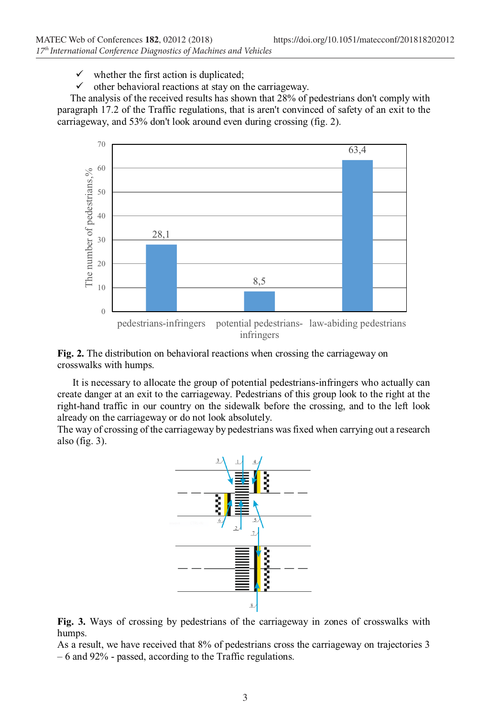$\checkmark$  whether the first action is duplicated;

 $\checkmark$  other behavioral reactions at stay on the carriageway.

 The analysis of the received results has shown that 28% of pedestrians don't comply with paragraph 17.2 of the Traffic regulations, that is aren't convinced of safety of an exit to the carriageway, and 53% don't look around even during crossing (fig. 2).



**Fig. 2.** The distribution on behavioral reactions when crossing the carriageway on crosswalks with humps.

 It is necessary to allocate the group of potential pedestrians-infringers who actually can create danger at an exit to the carriageway. Pedestrians of this group look to the right at the right-hand traffic in our country on the sidewalk before the crossing, and to the left look already on the carriageway or do not look absolutely.

The way of crossing of the carriageway by pedestrians was fixed when carrying out a research also (fig. 3).



**Fig. 3.** Ways of crossing by pedestrians of the carriageway in zones of crosswalks with humps.

As a result, we have received that 8% of pedestrians cross the carriageway on trajectories 3 – 6 and 92% - passed, according to the Traffic regulations.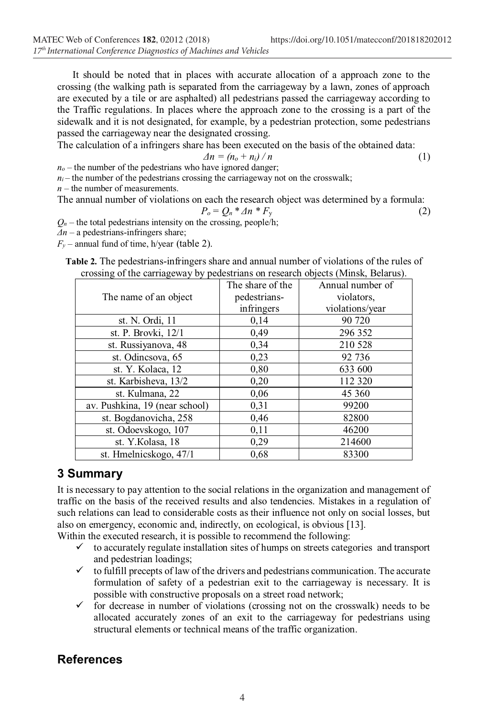It should be noted that in places with accurate allocation of a approach zone to the crossing (the walking path is separated from the carriageway by a lawn, zones of approach are executed by a tile or are asphalted) all pedestrians passed the carriageway according to the Traffic regulations. In places where the approach zone to the crossing is a part of the sidewalk and it is not designated, for example, by a pedestrian protection, some pedestrians passed the carriageway near the designated crossing.

The calculation of a infringers share has been executed on the basis of the obtained data:

$$
\Delta n = (n_o + n_i) / n \tag{1}
$$

 $n<sub>o</sub>$  – the number of the pedestrians who have ignored danger;

 $n_i$  – the number of the pedestrians crossing the carriageway not on the crosswalk;

*n* – the number of measurements.

The annual number of violations on each the research object was determined by a formula:

$$
P_o = Q_n * \varDelta n * F_y \tag{2}
$$

 $Q_n$  – the total pedestrians intensity on the crossing, people/h;

*Δn* – a pedestrians-infringers share;

 $F_y$  – annual fund of time, h/year (table 2).

**Table 2.** The pedestrians-infringers share and annual number of violations of the rules of crossing of the carriageway by pedestrians on research objects (Minsk, Belarus).

|                                | The share of the | Annual number of |
|--------------------------------|------------------|------------------|
| The name of an object          | pedestrians-     | violators,       |
|                                | infringers       | violations/year  |
| st. N. Ordi, 11                | 0,14             | 90 720           |
| st. P. Brovki, 12/1            | 0,49             | 296 352          |
| st. Russiyanova, 48            | 0,34             | 210 528          |
| st. Odincsova, 65              | 0,23             | 92 736           |
| st. Y. Kolaca, 12              | 0,80             | 633 600          |
| st. Karbisheva, 13/2           | 0,20             | 112 320          |
| st. Kulmana, 22                | 0,06             | 45 360           |
| av. Pushkina, 19 (near school) | 0,31             | 99200            |
| st. Bogdanovicha, 258          | 0,46             | 82800            |
| st. Odoevskogo, 107            | 0,11             | 46200            |
| st. Y.Kolasa, 18               | 0,29             | 214600           |
| st. Hmelnicskogo, 47/1         | 0,68             | 83300            |

### **3 Summary**

It is necessary to pay attention to the social relations in the organization and management of traffic on the basis of the received results and also tendencies. Mistakes in a regulation of such relations can lead to considerable costs as their influence not only on social losses, but also on emergency, economic and, indirectly, on ecological, is obvious [13].

Within the executed research, it is possible to recommend the following:

- $\checkmark$  to accurately regulate installation sites of humps on streets categories and transport and pedestrian loadings;
- $\checkmark$  to fulfill precepts of law of the drivers and pedestrians communication. The accurate formulation of safety of a pedestrian exit to the carriageway is necessary. It is possible with constructive proposals on a street road network;
- $\checkmark$  for decrease in number of violations (crossing not on the crosswalk) needs to be allocated accurately zones of an exit to the carriageway for pedestrians using structural elements or technical means of the traffic organization.

## **References**